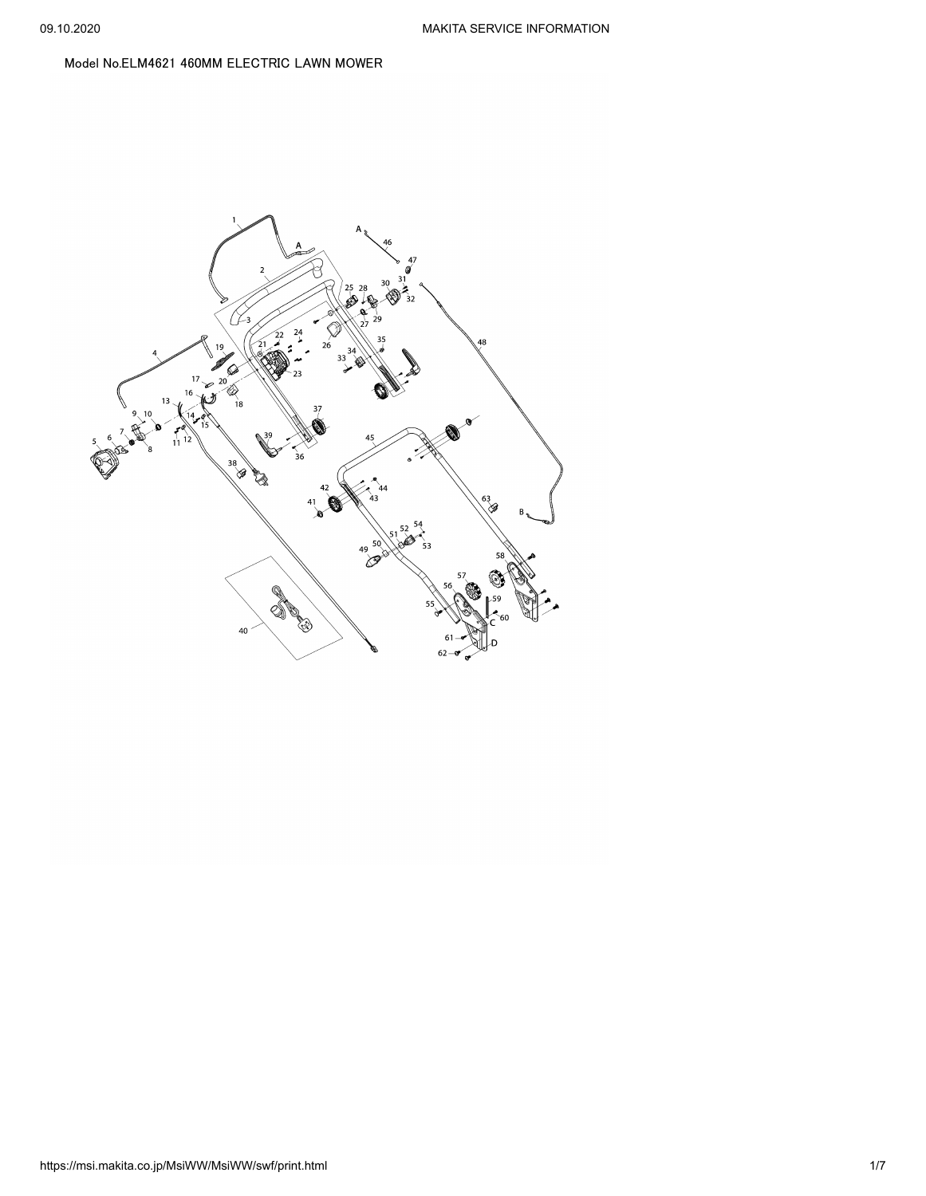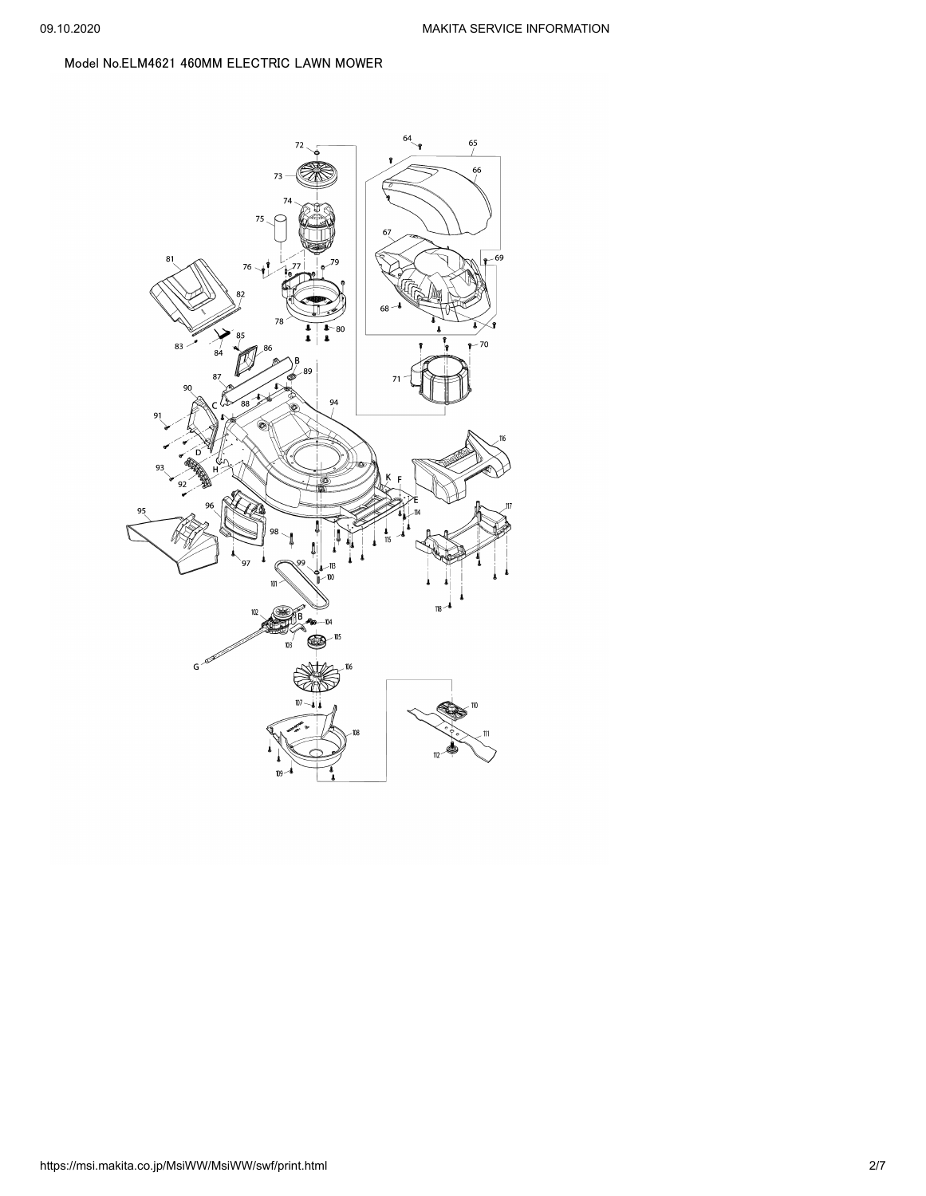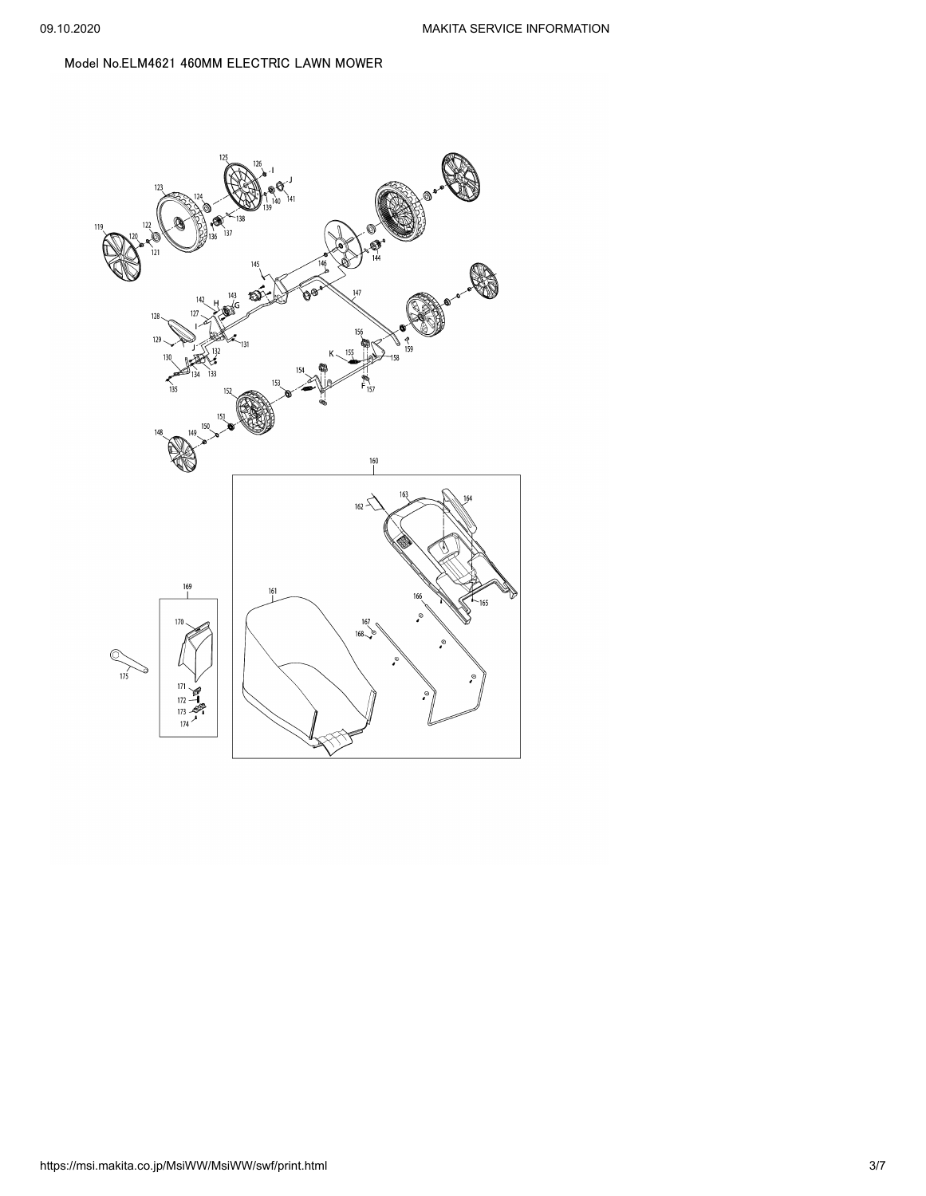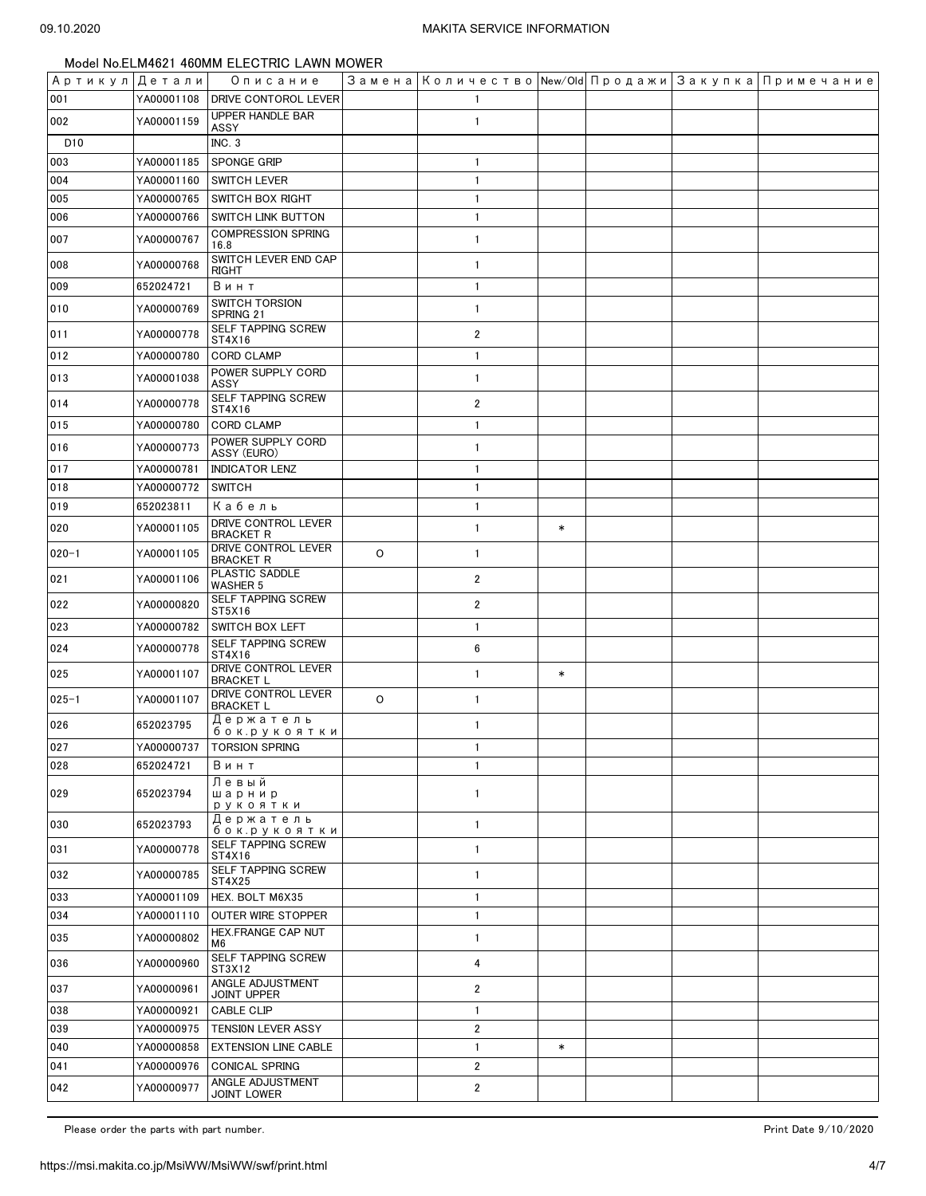| Артикул  Детали |            | Описание                                |         | Замена   Количество   New/Old   Продажи   Закупка   Примечание |        |  |  |
|-----------------|------------|-----------------------------------------|---------|----------------------------------------------------------------|--------|--|--|
| 001             | YA00001108 | <b>DRIVE CONTOROL LEVER</b>             |         | $\mathbf{1}$                                                   |        |  |  |
| 002             | YA00001159 | <b>UPPER HANDLE BAR</b><br>ASSY         |         | $\mathbf{1}$                                                   |        |  |  |
| D <sub>10</sub> |            | INC.3                                   |         |                                                                |        |  |  |
| 003             | YA00001185 | SPONGE GRIP                             |         | $\mathbf{1}$                                                   |        |  |  |
| 004             | YA00001160 | <b>SWITCH LEVER</b>                     |         | $\mathbf{1}$                                                   |        |  |  |
| 005             | YA00000765 | SWITCH BOX RIGHT                        |         | $\mathbf{1}$                                                   |        |  |  |
| 006             | YA00000766 | <b>SWITCH LINK BUTTON</b>               |         | $\mathbf{1}$                                                   |        |  |  |
| 007             | YA00000767 | <b>COMPRESSION SPRING</b><br>16.8       |         | $\mathbf{1}$                                                   |        |  |  |
| 008             | YA00000768 | SWITCH LEVER END CAP<br>RIGHT           |         | $\mathbf{1}$                                                   |        |  |  |
| 009             | 652024721  | Винт                                    |         | $\mathbf{1}$                                                   |        |  |  |
| 010             | YA00000769 | <b>SWITCH TORSION</b><br>SPRING 21      |         | $\mathbf{1}$                                                   |        |  |  |
| 011             | YA00000778 | SELF TAPPING SCREW<br>ST4X16            |         | $\overline{2}$                                                 |        |  |  |
| 012             | YA00000780 | <b>CORD CLAMP</b>                       |         | $\mathbf{1}$                                                   |        |  |  |
| 013             | YA00001038 | POWER SUPPLY CORD<br>ASSY               |         | $\mathbf{1}$                                                   |        |  |  |
| 014             | YA00000778 | SELF TAPPING SCREW<br>ST4X16            |         | $\overline{2}$                                                 |        |  |  |
| 015             | YA00000780 | <b>CORD CLAMP</b>                       |         | $\mathbf{1}$                                                   |        |  |  |
| 016             | YA00000773 | POWER SUPPLY CORD<br>ASSY (EURO)        |         | $\mathbf{1}$                                                   |        |  |  |
| 017             | YA00000781 | <b>INDICATOR LENZ</b>                   |         | $\mathbf{1}$                                                   |        |  |  |
| 018             | YA00000772 | <b>SWITCH</b>                           |         | $\mathbf{1}$                                                   |        |  |  |
| 019             | 652023811  | Кабель                                  |         | $\mathbf{1}$                                                   |        |  |  |
| 020             | YA00001105 | DRIVE CONTROL LEVER<br><b>BRACKET R</b> |         | $\mathbf{1}$                                                   | $\ast$ |  |  |
| $020 - 1$       | YA00001105 | DRIVE CONTROL LEVER<br><b>BRACKET R</b> | $\circ$ | $\mathbf{1}$                                                   |        |  |  |
| 021             | YA00001106 | PLASTIC SADDLE<br>WASHER 5              |         | $\overline{2}$                                                 |        |  |  |
| 022             | YA00000820 | SELF TAPPING SCREW<br>ST5X16            |         | 2                                                              |        |  |  |
| 023             | YA00000782 | SWITCH BOX LEFT                         |         | $\mathbf{1}$                                                   |        |  |  |
| 024             | YA00000778 | SELF TAPPING SCREW<br>ST4X16            |         | $\boldsymbol{6}$                                               |        |  |  |
| 025             | YA00001107 | DRIVE CONTROL LEVER<br><b>BRACKET L</b> |         | $\mathbf{1}$                                                   | $\ast$ |  |  |
| $025 - 1$       | YA00001107 | DRIVE CONTROL LEVER<br><b>BRACKET L</b> | $\circ$ | $\mathbf{1}$                                                   |        |  |  |
| 026             | 652023795  | Держатель<br>бок.рукоятки               |         | $\mathbf{1}$                                                   |        |  |  |
| 027             |            | YA00000737   TORSION SPRING             |         | $\mathbf{1}$                                                   |        |  |  |
| 028             | 652024721  | Винт                                    |         | $\mathbf{1}$                                                   |        |  |  |
| 029             | 652023794  | Левый<br>шарнир<br>рукоятки             |         | $\mathbf{1}$                                                   |        |  |  |
| 030             | 652023793  | Держатель<br>бок.рукоятки               |         | $\mathbf{1}$                                                   |        |  |  |
| 031             | YA00000778 | SELF TAPPING SCREW<br>ST4X16            |         | $\mathbf{1}$                                                   |        |  |  |
| 032             | YA00000785 | SELF TAPPING SCREW<br>ST4X25            |         | $\mathbf{1}$                                                   |        |  |  |
| 033             | YA00001109 | HEX. BOLT M6X35                         |         | $\mathbf{1}$                                                   |        |  |  |
| 034             | YA00001110 | <b>OUTER WIRE STOPPER</b>               |         | $\mathbf{1}$                                                   |        |  |  |
| 035             | YA00000802 | HEX.FRANGE CAP NUT<br>M6                |         | $\mathbf{1}$                                                   |        |  |  |
| 036             | YA00000960 | SELF TAPPING SCREW<br>ST3X12            |         | 4                                                              |        |  |  |
| 037             | YA00000961 | ANGLE ADJUSTMENT<br>JOINT UPPER         |         | $\overline{2}$                                                 |        |  |  |
| 038             | YA00000921 | <b>CABLE CLIP</b>                       |         | $\mathbf{1}$                                                   |        |  |  |
| 039             | YA00000975 | TENSION LEVER ASSY                      |         | $\overline{2}$                                                 |        |  |  |
| 040             | YA00000858 | <b>EXTENSION LINE CABLE</b>             |         | $\mathbf{1}$                                                   | $\ast$ |  |  |
| 041             | YA00000976 | <b>CONICAL SPRING</b>                   |         | $\overline{2}$                                                 |        |  |  |
| 042             | YA00000977 | ANGLE ADJUSTMENT<br>JOINT LOWER         |         | $\overline{2}$                                                 |        |  |  |

Please order the parts with part number. The set of the set of the set of the set of the set of the set of the set of the 9/10/2020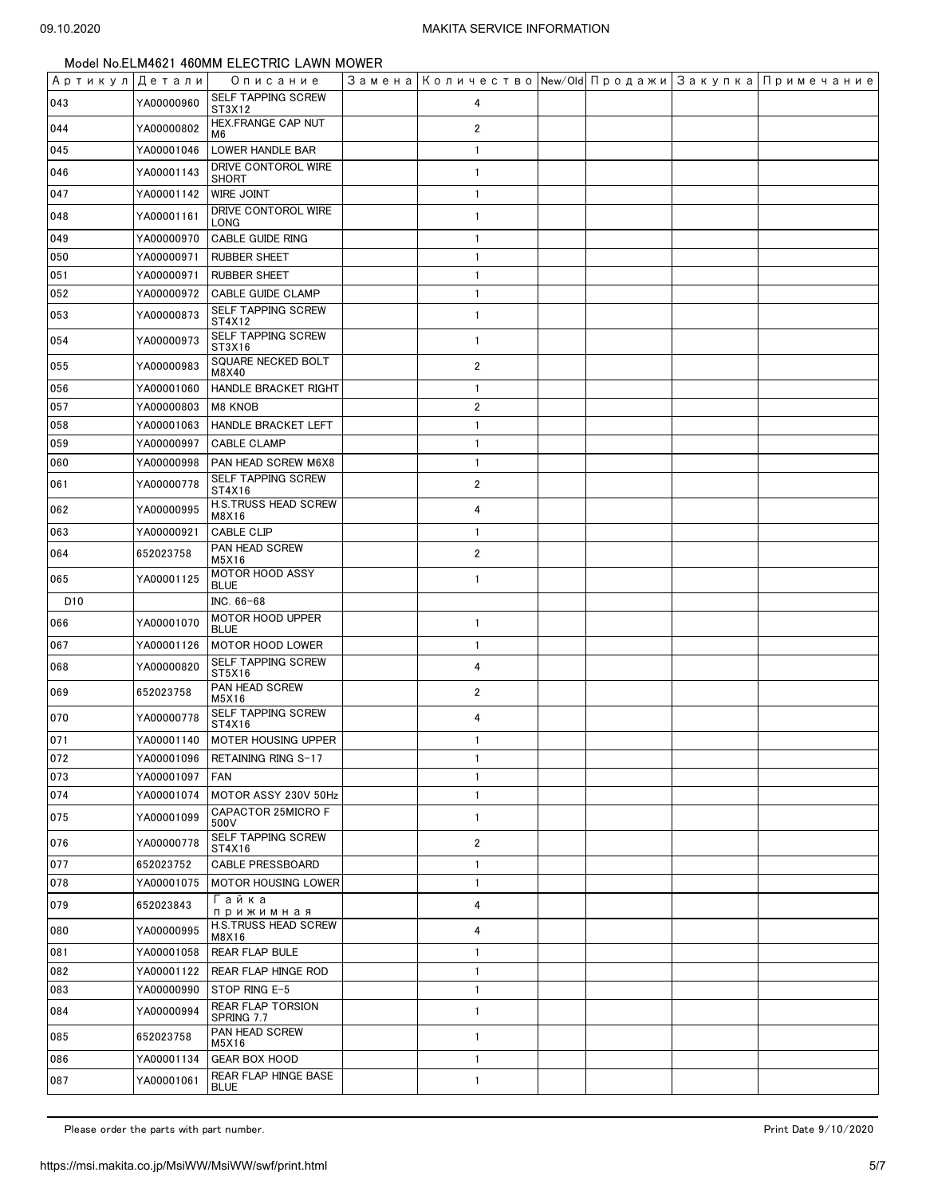| Артикул Детали  |            | Описание                               | Замена   Количество   New/Old   Продажи   Закупка   Примечание |  |  |
|-----------------|------------|----------------------------------------|----------------------------------------------------------------|--|--|
| 043             | YA00000960 | <b>SELF TAPPING SCREW</b><br>ST3X12    | 4                                                              |  |  |
| 044             | YA00000802 | HEX.FRANGE CAP NUT<br>M6               | $\overline{2}$                                                 |  |  |
| 045             | YA00001046 | LOWER HANDLE BAR                       | $\mathbf{1}$                                                   |  |  |
| 046             | YA00001143 | DRIVE CONTOROL WIRE<br><b>SHORT</b>    | $\mathbf{1}$                                                   |  |  |
| 047             | YA00001142 | WIRE JOINT                             | $\mathbf{1}$                                                   |  |  |
| 048             | YA00001161 | DRIVE CONTOROL WIRE<br>LONG            | $\mathbf{1}$                                                   |  |  |
| 049             | YA00000970 | <b>CABLE GUIDE RING</b>                | $\mathbf{1}$                                                   |  |  |
| 050             | YA00000971 | <b>RUBBER SHEET</b>                    | $\mathbf{1}$                                                   |  |  |
| 051             | YA00000971 | <b>RUBBER SHEET</b>                    | $\mathbf{1}$                                                   |  |  |
| 052             | YA00000972 | <b>CABLE GUIDE CLAMP</b>               | $\mathbf{1}$                                                   |  |  |
| 053             | YA00000873 | SELF TAPPING SCREW<br>ST4X12           | $\mathbf{1}$                                                   |  |  |
| 054             | YA00000973 | SELF TAPPING SCREW<br>ST3X16           | $\mathbf{1}$                                                   |  |  |
| 055             | YA00000983 | SQUARE NECKED BOLT<br>M8X40            | $\overline{2}$                                                 |  |  |
| 056             | YA00001060 | HANDLE BRACKET RIGHT                   | $\mathbf{1}$                                                   |  |  |
| 057             | YA00000803 | M8 KNOB                                | $\overline{2}$                                                 |  |  |
| 058             | YA00001063 | HANDLE BRACKET LEFT                    | $\mathbf{1}$                                                   |  |  |
| 059             | YA00000997 | <b>CABLE CLAMP</b>                     | $\mathbf{1}$                                                   |  |  |
| 060             | YA00000998 | PAN HEAD SCREW M6X8                    | $\mathbf{1}$                                                   |  |  |
| 061             | YA00000778 | SELF TAPPING SCREW<br>ST4X16           | $\overline{2}$                                                 |  |  |
| 062             | YA00000995 | H.S.TRUSS HEAD SCREW<br>M8X16          | 4                                                              |  |  |
| 063             | YA00000921 | CABLE CLIP                             | $\mathbf{1}$                                                   |  |  |
| 064             | 652023758  | PAN HEAD SCREW<br>M5X16                | $\overline{2}$                                                 |  |  |
| 065             | YA00001125 | <b>MOTOR HOOD ASSY</b><br><b>BLUE</b>  | $\mathbf{1}$                                                   |  |  |
| D <sub>10</sub> |            | INC. 66-68                             |                                                                |  |  |
| 066             | YA00001070 | MOTOR HOOD UPPER<br><b>BLUE</b>        | $\mathbf{1}$                                                   |  |  |
| 067             | YA00001126 | <b>MOTOR HOOD LOWER</b>                | $\mathbf{1}$                                                   |  |  |
| 068             | YA00000820 | SELF TAPPING SCREW<br>ST5X16           | 4                                                              |  |  |
| 069             | 652023758  | PAN HEAD SCREW<br>M5X16                | $\overline{\mathbf{c}}$                                        |  |  |
| 070             | YA00000778 | SELF TAPPING SCREW<br>ST4X16           | 4                                                              |  |  |
| 071             | YA00001140 | <b>MOTER HOUSING UPPER</b>             | $\mathbf{1}$                                                   |  |  |
| 072             | YA00001096 | RETAINING RING S-17                    | $\mathbf{1}$                                                   |  |  |
| 073             | YA00001097 | <b>FAN</b>                             | $\mathbf{1}$                                                   |  |  |
| 074             | YA00001074 | MOTOR ASSY 230V 50Hz                   | $\mathbf{1}$                                                   |  |  |
| 075             | YA00001099 | CAPACTOR 25MICRO F<br>500V             | $\mathbf{1}$                                                   |  |  |
| 076             | YA00000778 | SELF TAPPING SCREW<br>ST4X16           | 2                                                              |  |  |
| 077             | 652023752  | <b>CABLE PRESSBOARD</b>                | $\mathbf{1}$                                                   |  |  |
| 078             | YA00001075 | <b>MOTOR HOUSING LOWER</b>             | $\mathbf{1}$                                                   |  |  |
| 079             | 652023843  | Гайка<br>прижимная                     | 4                                                              |  |  |
| 080             | YA00000995 | <b>H.S.TRUSS HEAD SCREW</b><br>M8X16   | 4                                                              |  |  |
| 081             | YA00001058 | <b>REAR FLAP BULE</b>                  | $\mathbf{1}$                                                   |  |  |
| 082             | YA00001122 | REAR FLAP HINGE ROD                    | $\mathbf{1}$                                                   |  |  |
| 083             | YA00000990 | STOP RING E-5                          | 1                                                              |  |  |
| 084             | YA00000994 | <b>REAR FLAP TORSION</b><br>SPRING 7.7 | $\mathbf{1}$                                                   |  |  |
| 085             | 652023758  | PAN HEAD SCREW<br>M5X16                | $\mathbf{1}$                                                   |  |  |
| 086             | YA00001134 | <b>GEAR BOX HOOD</b>                   | $\mathbf{1}$                                                   |  |  |
| 087             | YA00001061 | REAR FLAP HINGE BASE<br><b>BLUE</b>    | 1                                                              |  |  |

Please order the parts with part number. The set of the set of the set of the set of the set of the set of the set of the 9/10/2020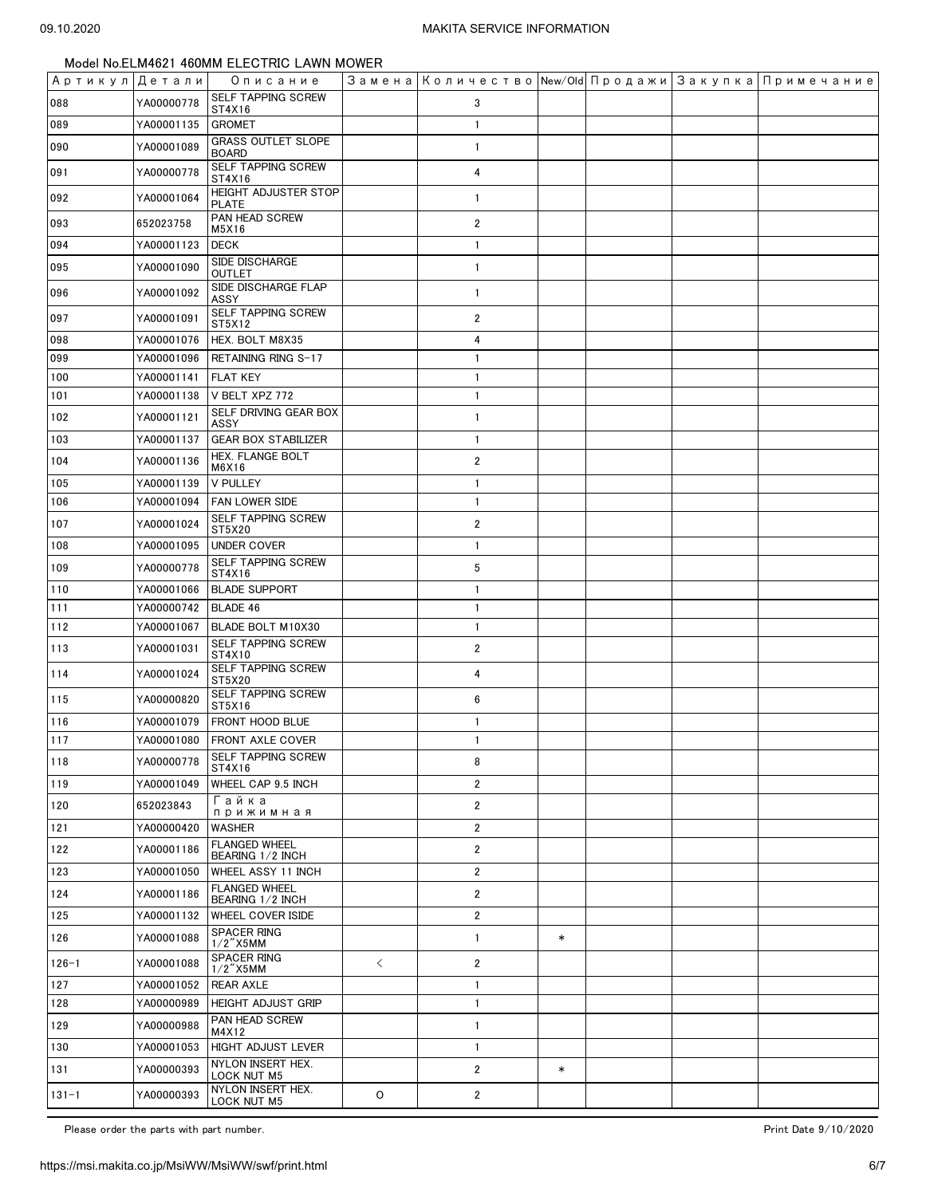| Артикул Детали |            | Описание                                       |           | Замена   Количество   New/Old   Продажи   Закупка   Примечание |        |  |  |
|----------------|------------|------------------------------------------------|-----------|----------------------------------------------------------------|--------|--|--|
| 088            | YA00000778 | SELF TAPPING SCREW<br>ST4X16                   |           | 3                                                              |        |  |  |
| 089            | YA00001135 | <b>GROMET</b>                                  |           | $\mathbf{1}$                                                   |        |  |  |
| 090            | YA00001089 | <b>GRASS OUTLET SLOPE</b><br><b>BOARD</b>      |           | $\overline{1}$                                                 |        |  |  |
| 091            | YA00000778 | SELF TAPPING SCREW<br>ST4X16                   |           | 4                                                              |        |  |  |
| 092            | YA00001064 | <b>HEIGHT ADJUSTER STOP</b><br><b>PLATE</b>    |           | $\mathbf{1}$                                                   |        |  |  |
| 093            | 652023758  | PAN HEAD SCREW<br>M5X16                        |           | $\overline{2}$                                                 |        |  |  |
| 094            | YA00001123 | <b>DECK</b>                                    |           | $\mathbf{1}$                                                   |        |  |  |
| 095            | YA00001090 | SIDE DISCHARGE<br><b>OUTLET</b>                |           | $\overline{1}$                                                 |        |  |  |
| 096            | YA00001092 | SIDE DISCHARGE FLAP<br>ASSY                    |           | $\mathbf{1}$                                                   |        |  |  |
| 097            | YA00001091 | SELF TAPPING SCREW<br>ST5X12                   |           | $\overline{2}$                                                 |        |  |  |
| 098            | YA00001076 | HEX. BOLT M8X35                                |           | 4                                                              |        |  |  |
| 099            | YA00001096 | RETAINING RING S-17                            |           | $\overline{1}$                                                 |        |  |  |
| 100            | YA00001141 | <b>FLAT KEY</b>                                |           | $\overline{1}$                                                 |        |  |  |
| 101            | YA00001138 | V BELT XPZ 772                                 |           | $\overline{1}$                                                 |        |  |  |
| 102            | YA00001121 | SELF DRIVING GEAR BOX<br>ASSY                  |           | $\overline{1}$                                                 |        |  |  |
| 103            | YA00001137 | <b>GEAR BOX STABILIZER</b>                     |           | $\overline{1}$                                                 |        |  |  |
| 104            | YA00001136 | HEX. FLANGE BOLT<br>M6X16                      |           | $\overline{2}$                                                 |        |  |  |
| 105            | YA00001139 | <b>V PULLEY</b>                                |           | $\overline{1}$                                                 |        |  |  |
| 106            | YA00001094 | <b>FAN LOWER SIDE</b>                          |           | $\mathbf{1}$                                                   |        |  |  |
| 107            | YA00001024 | SELF TAPPING SCREW<br>ST5X20                   |           | $\overline{2}$                                                 |        |  |  |
| 108            | YA00001095 | <b>UNDER COVER</b>                             |           | $\overline{1}$                                                 |        |  |  |
| 109            | YA00000778 | SELF TAPPING SCREW<br>ST4X16                   |           | 5                                                              |        |  |  |
| 110            | YA00001066 | <b>BLADE SUPPORT</b>                           |           | $\overline{1}$                                                 |        |  |  |
| 111            | YA00000742 | BLADE 46                                       |           | $\mathbf{1}$                                                   |        |  |  |
| 112            | YA00001067 | BLADE BOLT M10X30                              |           | $\mathbf{1}$                                                   |        |  |  |
| 113            | YA00001031 | SELF TAPPING SCREW<br>ST4X10                   |           | $\overline{2}$                                                 |        |  |  |
| 114            | YA00001024 | SELF TAPPING SCREW<br>ST5X20                   |           | 4                                                              |        |  |  |
| 115            | YA00000820 | SELF TAPPING SCREW<br>ST5X16                   |           | 6                                                              |        |  |  |
| 116            | YA00001079 | FRONT HOOD BLUE                                |           | $\mathbf{1}$                                                   |        |  |  |
| 117            | YA00001080 | <b>FRONT AXLE COVER</b>                        |           | $\overline{1}$                                                 |        |  |  |
| 118            | YA00000778 | SELF TAPPING SCREW<br>ST4X16                   |           | 8                                                              |        |  |  |
| 119            | YA00001049 | WHEEL CAP 9.5 INCH                             |           | $\overline{2}$                                                 |        |  |  |
| 120            | 652023843  | Гайка<br>прижимная                             |           | $\overline{2}$                                                 |        |  |  |
| 121            | YA00000420 | <b>WASHER</b>                                  |           | $\overline{\mathbf{c}}$                                        |        |  |  |
| 122            | YA00001186 | <b>FLANGED WHEEL</b><br>BEARING 1/2 INCH       |           | $\overline{2}$                                                 |        |  |  |
| 123            | YA00001050 | WHEEL ASSY 11 INCH                             |           | $\overline{\mathbf{c}}$                                        |        |  |  |
| 124            | YA00001186 | <b>FLANGED WHEEL</b><br>BEARING 1/2 INCH       |           | $\overline{2}$                                                 |        |  |  |
| 125            | YA00001132 | WHEEL COVER ISIDE                              |           | $\overline{2}$                                                 |        |  |  |
| 126            | YA00001088 | <b>SPACER RING</b><br>$1/2$ "X5MM              |           | $\overline{1}$                                                 | $\ast$ |  |  |
| $126 - 1$      | YA00001088 | <b>SPACER RING</b>                             | $\langle$ | $\overline{2}$                                                 |        |  |  |
| 127            | YA00001052 | $1/2$ "X5MM<br><b>REAR AXLE</b>                |           | $\overline{1}$                                                 |        |  |  |
| 128            | YA00000989 | <b>HEIGHT ADJUST GRIP</b>                      |           | $\overline{1}$                                                 |        |  |  |
| 129            | YA00000988 | PAN HEAD SCREW                                 |           | $\overline{1}$                                                 |        |  |  |
|                |            | M4X12                                          |           |                                                                |        |  |  |
| 130            | YA00001053 | <b>HIGHT ADJUST LEVER</b><br>NYLON INSERT HEX. |           | $\mathbf{1}$                                                   |        |  |  |
| 131            | YA00000393 | LOCK NUT M5<br>NYLON INSERT HEX.               |           | $\overline{2}$                                                 | $\ast$ |  |  |
| $131 - 1$      | YA00000393 | <b>LOCK NUT M5</b>                             | O         | $\overline{2}$                                                 |        |  |  |

Please order the parts with part number. The set of the set of the set of the set of the set of the set of the set of the 9/10/2020